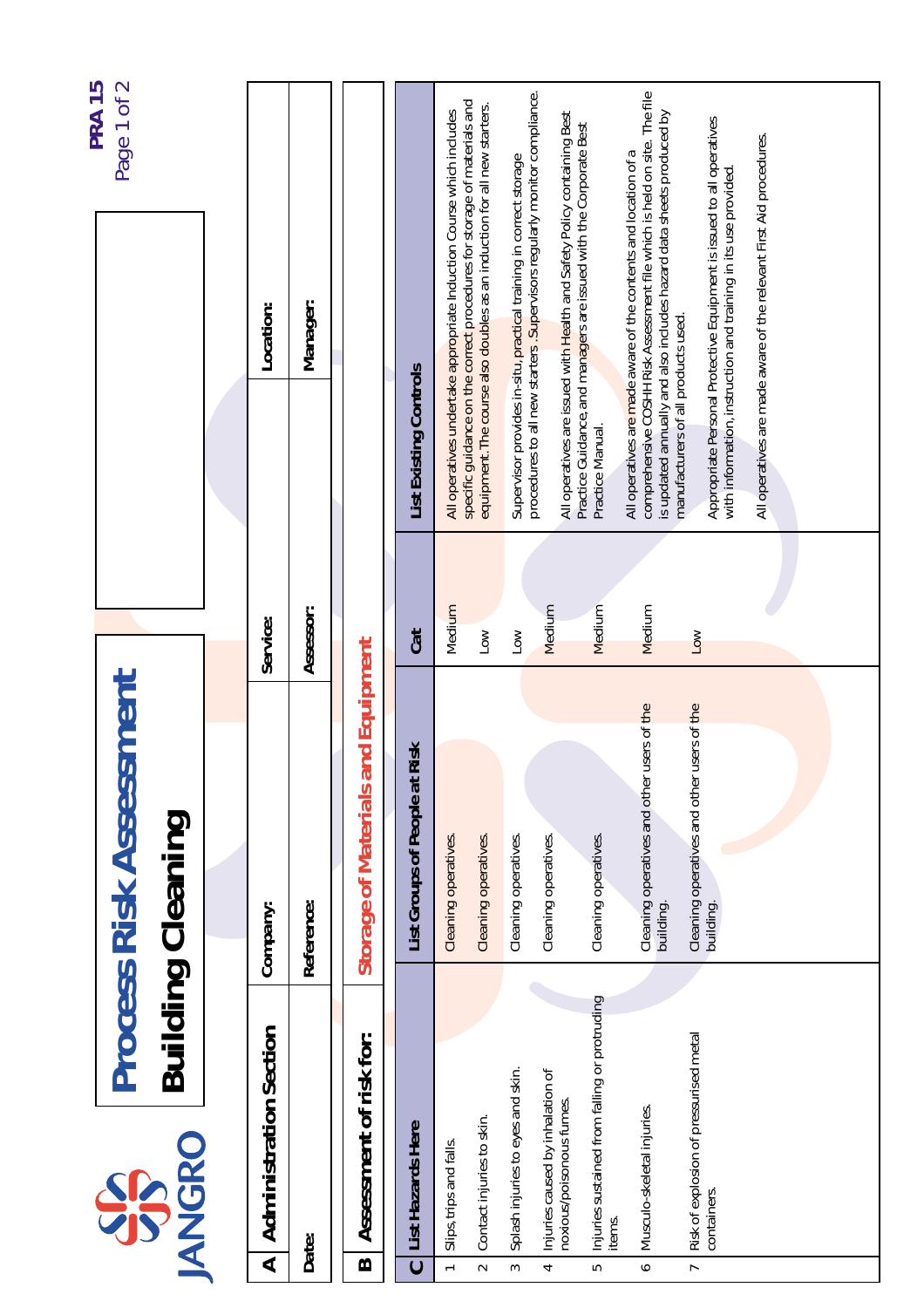|                          |                                                              | <b>Process Risk Assessment</b>                             |                       |                                                                                                                                                                                                                     | Page 1 of 2<br><b>PRA 15</b> |
|--------------------------|--------------------------------------------------------------|------------------------------------------------------------|-----------------------|---------------------------------------------------------------------------------------------------------------------------------------------------------------------------------------------------------------------|------------------------------|
|                          | <b>ANGRO</b><br>SP                                           | <b>Building Cleaning</b>                                   |                       |                                                                                                                                                                                                                     |                              |
|                          |                                                              |                                                            |                       |                                                                                                                                                                                                                     |                              |
| $\blacktriangleleft$     | <b>Administration Section</b>                                | Company:                                                   | Service:              | Location:                                                                                                                                                                                                           |                              |
|                          | Date:                                                        | Reference:                                                 | Assessor:             | Manager:                                                                                                                                                                                                            |                              |
| $\mathbf{\Omega}$        | Assessment of risk for:                                      | Storage of Materials and Equipment                         |                       |                                                                                                                                                                                                                     |                              |
| $\mathbf C$              | List Hazards Here                                            | <b>Risk</b><br>List Groups of People at                    | Cat                   | List Existing Controls                                                                                                                                                                                              |                              |
| $\overline{ }$           | Slips, trips and falls.                                      | Cleaning operatives.                                       | Medium                | All operatives undertake appropriate Induction Course which includes                                                                                                                                                |                              |
| $\sim$                   | Contact injuries to skin.                                    | Cleaning operatives.                                       | Low                   | specific guidance on the correct procedures for storage of materials and<br>equipment. The course also doubles as an induction for all new starters.                                                                |                              |
| 3                        | Splash injuries to eyes and skin.                            | Cleaning operatives.                                       | Low                   | Supervisor provides in-situ, practical training in correct storage                                                                                                                                                  |                              |
| 4                        | Injuries caused by inhalation of<br>noxious/poisonous fumes. | Cleaning operatives.                                       | Medium                | procedures to all new starters. Supervisors regularly monitor compliance.<br>All operatives are issued with Health and Safety Policy containing Best                                                                |                              |
| $\overline{5}$           | Injuries sustained from falling or protruding<br>items.      | Cleaning operatives.                                       | Medium                | Practice Guidance, and managers are issued with the Corporate Best<br>Practice Manual.                                                                                                                              |                              |
| $\bullet$                | Musculo-skeletal injuries.                                   | users of the<br>Cleaning operatives and other<br>building. | Medium                | comprehensive COSHH Risk Assessment file which is held on site. The file<br>is updated annually and also includes hazard data sheets produced by<br>All operatives are made aware of the contents and location of a |                              |
| $\overline{\phantom{a}}$ | Risk of explosion of pressurised metal<br>containers.        | users of the<br>Cleaning operatives and other<br>building. | $\overline{\text{S}}$ | Appropriate Personal Protective Equipment is issued to all operatives<br>with information, instruction and training in its use provided<br>manufacturers of all products used.                                      |                              |
|                          |                                                              |                                                            |                       | All operatives are made aware of the relevant First Aid procedures.                                                                                                                                                 |                              |
|                          |                                                              |                                                            |                       |                                                                                                                                                                                                                     |                              |
|                          |                                                              |                                                            |                       |                                                                                                                                                                                                                     |                              |